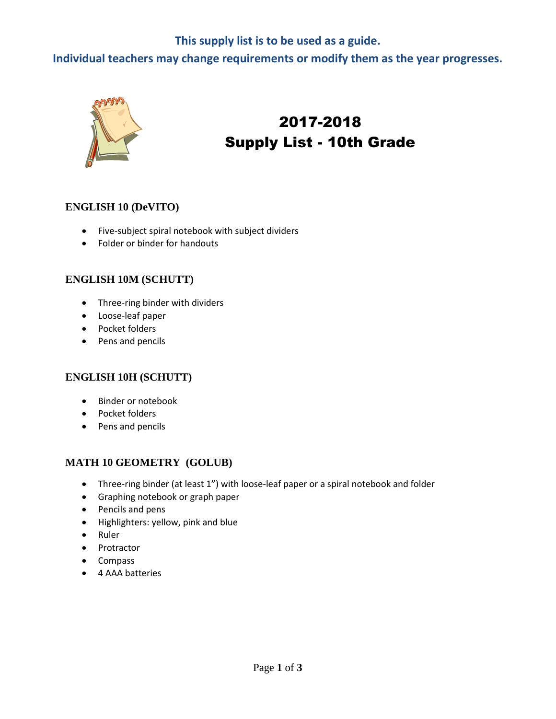# **This supply list is to be used as a guide.**

**Individual teachers may change requirements or modify them as the year progresses.**



# 2017-2018 Supply List - 10th Grade

#### **ENGLISH 10 (DeVITO)**

- Five-subject spiral notebook with subject dividers
- Folder or binder for handouts

#### **ENGLISH 10M (SCHUTT)**

- Three-ring binder with dividers
- Loose-leaf paper
- Pocket folders
- Pens and pencils

#### **ENGLISH 10H (SCHUTT)**

- Binder or notebook
- Pocket folders
- Pens and pencils

#### **MATH 10 GEOMETRY (GOLUB)**

- Three-ring binder (at least 1") with loose-leaf paper or a spiral notebook and folder
- Graphing notebook or graph paper
- Pencils and pens
- Highlighters: yellow, pink and blue
- Ruler
- Protractor
- Compass
- 4 AAA batteries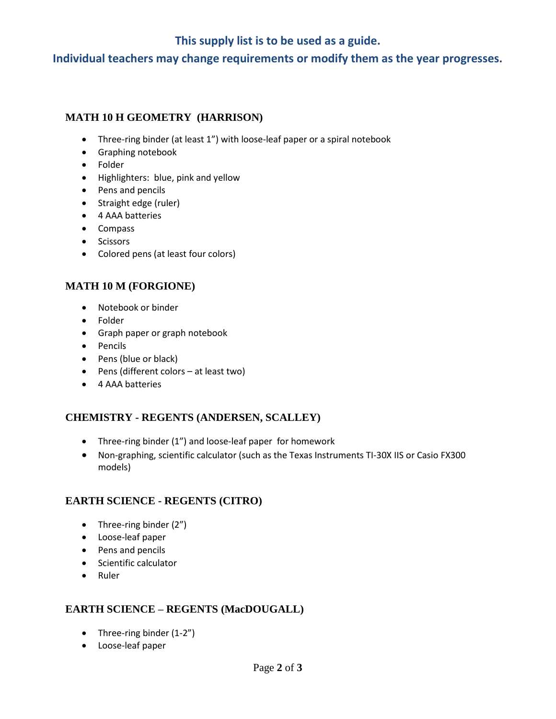# **This supply list is to be used as a guide.**

**Individual teachers may change requirements or modify them as the year progresses.**

## **MATH 10 H GEOMETRY (HARRISON)**

- Three-ring binder (at least 1") with loose-leaf paper or a spiral notebook
- **•** Graphing notebook
- Folder
- Highlighters: blue, pink and yellow
- Pens and pencils
- Straight edge (ruler)
- 4 AAA batteries
- Compass
- Scissors
- Colored pens (at least four colors)

## **MATH 10 M (FORGIONE)**

- Notebook or binder
- Folder
- Graph paper or graph notebook
- Pencils
- Pens (blue or black)
- Pens (different colors at least two)
- 4 AAA batteries

## **CHEMISTRY - REGENTS (ANDERSEN, SCALLEY)**

- Three-ring binder (1") and loose-leaf paper for homework
- Non-graphing, scientific calculator (such as the Texas Instruments TI-30X IIS or Casio FX300 models)

#### **EARTH SCIENCE - REGENTS (CITRO)**

- Three-ring binder (2")
- Loose-leaf paper
- Pens and pencils
- Scientific calculator
- Ruler

## **EARTH SCIENCE – REGENTS (MacDOUGALL)**

- Three-ring binder (1-2")
- Loose-leaf paper